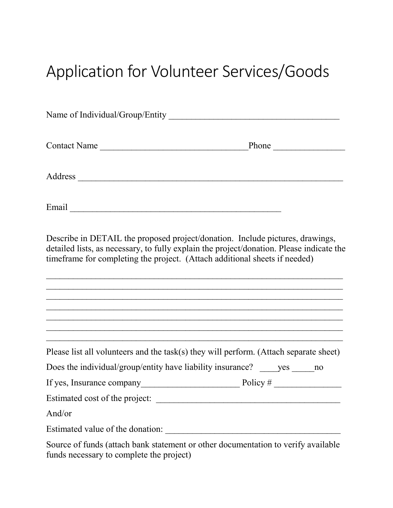## Application for Volunteer Services/Goods

| Name of Individual/Group/Entity | <u> 1989 - John Stone, Amerikaansk politiker (</u> † 1918) |  |
|---------------------------------|------------------------------------------------------------|--|
| <b>Contact Name</b>             | Phone                                                      |  |
| Address                         |                                                            |  |
| Email                           |                                                            |  |

Describe in DETAIL the proposed project/donation. Include pictures, drawings, detailed lists, as necessary, to fully explain the project/donation. Please indicate the timeframe for completing the project. (Attach additional sheets if needed)

 $\mathcal{L}_\text{max}$  , and the contract of the contract of the contract of the contract of the contract of the contract of the contract of the contract of the contract of the contract of the contract of the contract of the contr  $\overline{a}$  , and the contribution of the contribution of the contribution of the contribution of the contribution of the contribution of the contribution of the contribution of the contribution of the contribution of the co  $\mathcal{L}_\text{max}$  , and the contract of the contract of the contract of the contract of the contract of the contract of the contract of the contract of the contract of the contract of the contract of the contract of the contr  $\mathcal{L}_\text{max}$  , and the contract of the contract of the contract of the contract of the contract of the contract of the contract of the contract of the contract of the contract of the contract of the contract of the contr  $\mathcal{L}_\text{max}$  , and the contract of the contract of the contract of the contract of the contract of the contract of the contract of the contract of the contract of the contract of the contract of the contract of the contr  $\mathcal{L}_\text{max}$  , and the contract of the contract of the contract of the contract of the contract of the contract of the contract of the contract of the contract of the contract of the contract of the contract of the contr

| Please list all volunteers and the task(s) they will perform. (Attach separate sheet)                                                                                                                                             |          |     |    |
|-----------------------------------------------------------------------------------------------------------------------------------------------------------------------------------------------------------------------------------|----------|-----|----|
| Does the individual/group/entity have liability insurance?                                                                                                                                                                        |          | yes | no |
| If yes, Insurance company                                                                                                                                                                                                         | Policy # |     |    |
| Estimated cost of the project:                                                                                                                                                                                                    |          |     |    |
| And/or                                                                                                                                                                                                                            |          |     |    |
| Estimated value of the donation:                                                                                                                                                                                                  |          |     |    |
| $\Omega$ course of find to (attach the other test countries of the original test of the second test of the second test of the second test of the second test of the second test of the second test of the second test of the seco |          |     |    |

Source of funds (attach bank statement or other documentation to verify available funds necessary to complete the project)